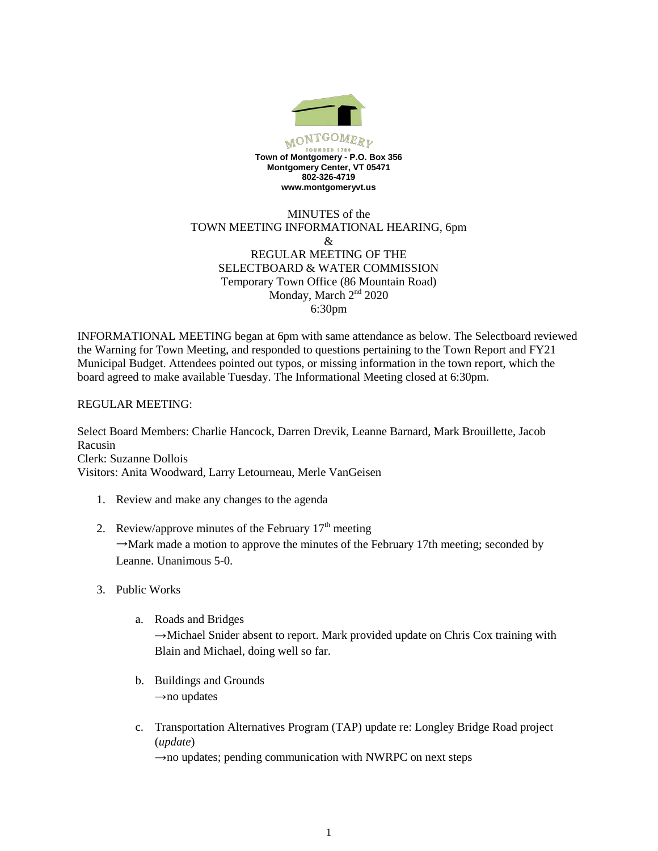

## MINUTES of the TOWN MEETING INFORMATIONAL HEARING, 6pm & REGULAR MEETING OF THE SELECTBOARD & WATER COMMISSION Temporary Town Office (86 Mountain Road) Monday, March 2<sup>nd</sup> 2020 6:30pm

INFORMATIONAL MEETING began at 6pm with same attendance as below. The Selectboard reviewed the Warning for Town Meeting, and responded to questions pertaining to the Town Report and FY21 Municipal Budget. Attendees pointed out typos, or missing information in the town report, which the board agreed to make available Tuesday. The Informational Meeting closed at 6:30pm.

## REGULAR MEETING:

Select Board Members: Charlie Hancock, Darren Drevik, Leanne Barnard, Mark Brouillette, Jacob Racusin Clerk: Suzanne Dollois Visitors: Anita Woodward, Larry Letourneau, Merle VanGeisen

- 1. Review and make any changes to the agenda
- 2. Review/approve minutes of the February  $17<sup>th</sup>$  meeting  $\rightarrow$ Mark made a motion to approve the minutes of the February 17th meeting; seconded by Leanne. Unanimous 5-0.
- 3. Public Works
	- a. Roads and Bridges →Michael Snider absent to report. Mark provided update on Chris Cox training with Blain and Michael, doing well so far.
	- b. Buildings and Grounds  $\rightarrow$ no updates
	- c. Transportation Alternatives Program (TAP) update re: Longley Bridge Road project (*update*)

 $\rightarrow$ no updates; pending communication with NWRPC on next steps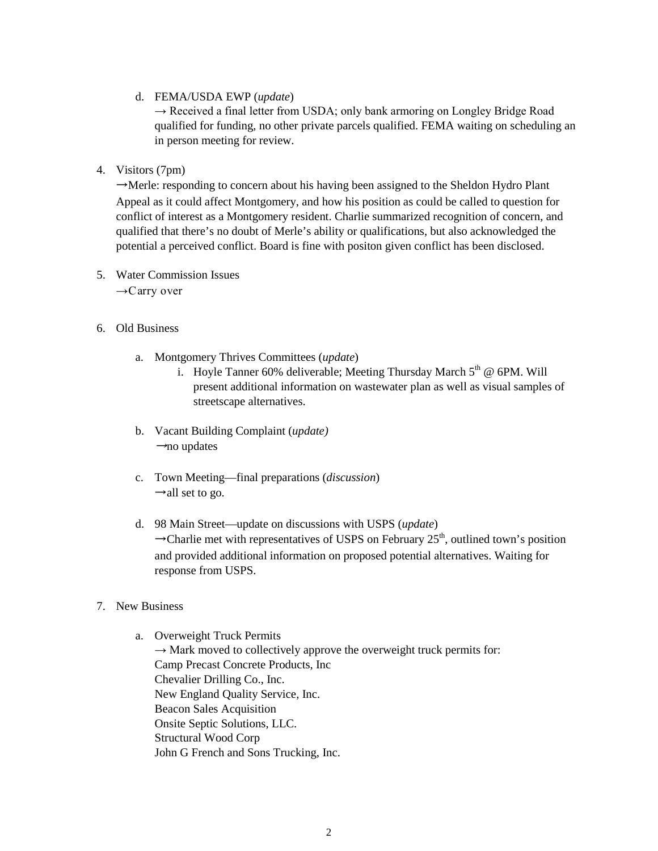d. FEMA/USDA EWP (*update*)

 $\rightarrow$  Received a final letter from USDA; only bank armoring on Longley Bridge Road qualified for funding, no other private parcels qualified. FEMA waiting on scheduling an in person meeting for review.

4. Visitors (7pm)

 $\rightarrow$ Merle: responding to concern about his having been assigned to the Sheldon Hydro Plant Appeal as it could affect Montgomery, and how his position as could be called to question for conflict of interest as a Montgomery resident. Charlie summarized recognition of concern, and qualified that there's no doubt of Merle's ability or qualifications, but also acknowledged the potential a perceived conflict. Board is fine with positon given conflict has been disclosed.

- 5. Water Commission Issues  $\rightarrow$  Carry over
- 6. Old Business
	- a. Montgomery Thrives Committees (*update*)
		- i. Hoyle Tanner 60% deliverable; Meeting Thursday March  $5<sup>th</sup>$  @ 6PM. Will present additional information on wastewater plan as well as visual samples of streetscape alternatives.
	- b. Vacant Building Complaint (*update)*  $\rightarrow$ no updates
	- c. Town Meeting—final preparations (*discussion*)  $\rightarrow$ all set to go.
	- d. 98 Main Street—update on discussions with USPS (*update*)  $\rightarrow$ Charlie met with representatives of USPS on February 25<sup>th</sup>, outlined town's position and provided additional information on proposed potential alternatives. Waiting for response from USPS.
- 7. New Business
	- a. Overweight Truck Permits  $\rightarrow$  Mark moved to collectively approve the overweight truck permits for: Camp Precast Concrete Products, Inc Chevalier Drilling Co., Inc. New England Quality Service, Inc. Beacon Sales Acquisition Onsite Septic Solutions, LLC. Structural Wood Corp John G French and Sons Trucking, Inc.